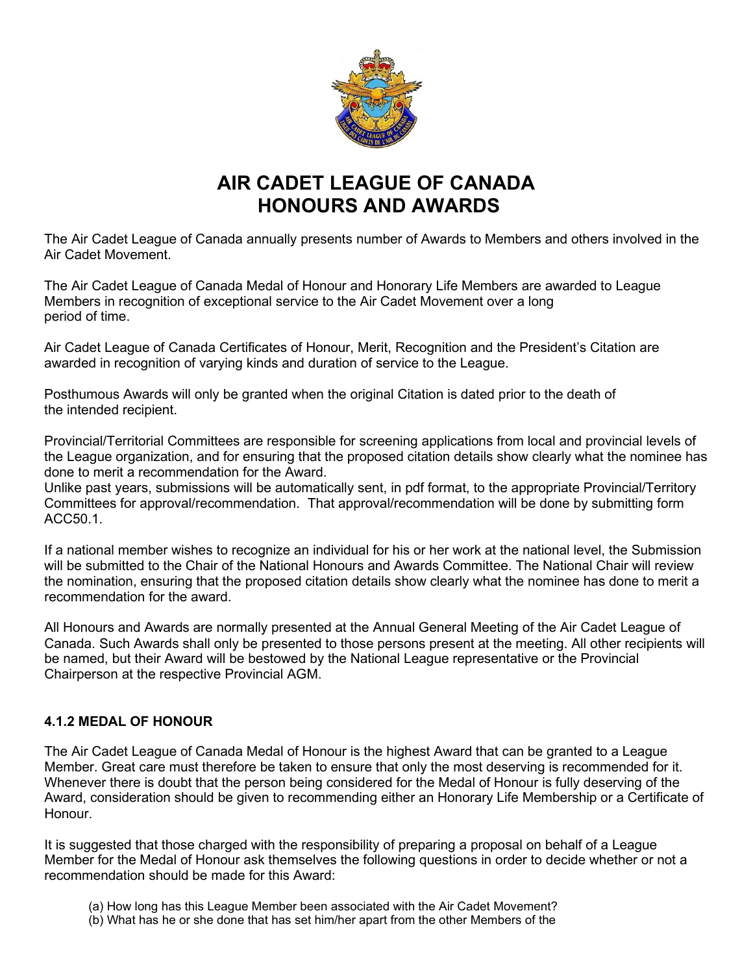

# **AIR CADET LEAGUE OF CANADA HONOURS AND AWARDS**

The Air Cadet League of Canada annually presents number of Awards to Members and others involved in the Air Cadet Movement.

The Air Cadet League of Canada Medal of Honour and Honorary Life Members are awarded to League Members in recognition of exceptional service to the Air Cadet Movement over a long period of time.

Air Cadet League of Canada Certificates of Honour, Merit, Recognition and the President's Citation are awarded in recognition of varying kinds and duration of service to the League.

Posthumous Awards will only be granted when the original Citation is dated prior to the death of the intended recipient.

Provincial/Territorial Committees are responsible for screening applications from local and provincial levels of the League organization, and for ensuring that the proposed citation details show clearly what the nominee has done to merit a recommendation for the Award.

Unlike past years, submissions will be automatically sent, in pdf format, to the appropriate Provincial/Territory Committees for approval/recommendation. That approval/recommendation will be done by submitting form ACC50.1.

If a national member wishes to recognize an individual for his or her work at the national level, the Submission will be submitted to the Chair of the National Honours and Awards Committee. The National Chair will review the nomination, ensuring that the proposed citation details show clearly what the nominee has done to merit a recommendation for the award.

All Honours and Awards are normally presented at the Annual General Meeting of the Air Cadet League of Canada. Such Awards shall only be presented to those persons present at the meeting. All other recipients will be named, but their Award will be bestowed by the National League representative or the Provincial Chairperson at the respective Provincial AGM.

# **4.1.2 MEDAL OF HONOUR**

The Air Cadet League of Canada Medal of Honour is the highest Award that can be granted to a League Member. Great care must therefore be taken to ensure that only the most deserving is recommended for it. Whenever there is doubt that the person being considered for the Medal of Honour is fully deserving of the Award, consideration should be given to recommending either an Honorary Life Membership or a Certificate of Honour.

It is suggested that those charged with the responsibility of preparing a proposal on behalf of a League Member for the Medal of Honour ask themselves the following questions in order to decide whether or not a recommendation should be made for this Award:

- (a) How long has this League Member been associated with the Air Cadet Movement?
- (b) What has he or she done that has set him/her apart from the other Members of the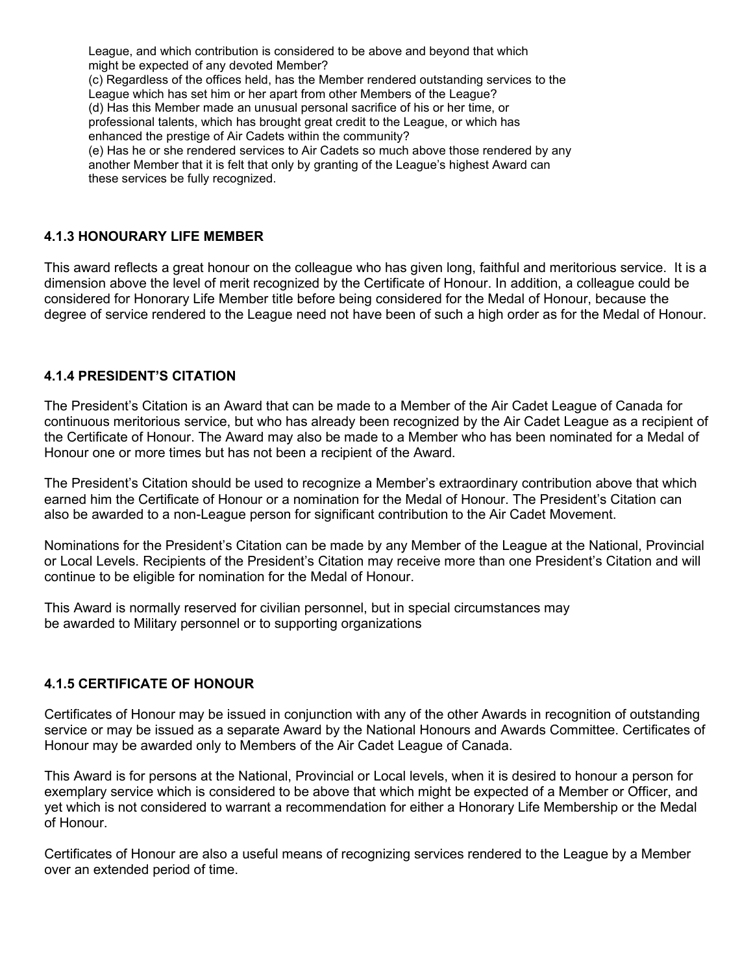League, and which contribution is considered to be above and beyond that which might be expected of any devoted Member? (c) Regardless of the offices held, has the Member rendered outstanding services to the League which has set him or her apart from other Members of the League? (d) Has this Member made an unusual personal sacrifice of his or her time, or professional talents, which has brought great credit to the League, or which has enhanced the prestige of Air Cadets within the community? (e) Has he or she rendered services to Air Cadets so much above those rendered by any another Member that it is felt that only by granting of the League's highest Award can these services be fully recognized.

### **4.1.3 HONOURARY LIFE MEMBER**

This award reflects a great honour on the colleague who has given long, faithful and meritorious service. It is a dimension above the level of merit recognized by the Certificate of Honour. In addition, a colleague could be considered for Honorary Life Member title before being considered for the Medal of Honour, because the degree of service rendered to the League need not have been of such a high order as for the Medal of Honour.

#### **4.1.4 PRESIDENT'S CITATION**

The President's Citation is an Award that can be made to a Member of the Air Cadet League of Canada for continuous meritorious service, but who has already been recognized by the Air Cadet League as a recipient of the Certificate of Honour. The Award may also be made to a Member who has been nominated for a Medal of Honour one or more times but has not been a recipient of the Award.

The President's Citation should be used to recognize a Member's extraordinary contribution above that which earned him the Certificate of Honour or a nomination for the Medal of Honour. The President's Citation can also be awarded to a non-League person for significant contribution to the Air Cadet Movement.

Nominations for the President's Citation can be made by any Member of the League at the National, Provincial or Local Levels. Recipients of the President's Citation may receive more than one President's Citation and will continue to be eligible for nomination for the Medal of Honour.

This Award is normally reserved for civilian personnel, but in special circumstances may be awarded to Military personnel or to supporting organizations

#### **4.1.5 CERTIFICATE OF HONOUR**

Certificates of Honour may be issued in conjunction with any of the other Awards in recognition of outstanding service or may be issued as a separate Award by the National Honours and Awards Committee. Certificates of Honour may be awarded only to Members of the Air Cadet League of Canada.

This Award is for persons at the National, Provincial or Local levels, when it is desired to honour a person for exemplary service which is considered to be above that which might be expected of a Member or Officer, and yet which is not considered to warrant a recommendation for either a Honorary Life Membership or the Medal of Honour.

Certificates of Honour are also a useful means of recognizing services rendered to the League by a Member over an extended period of time.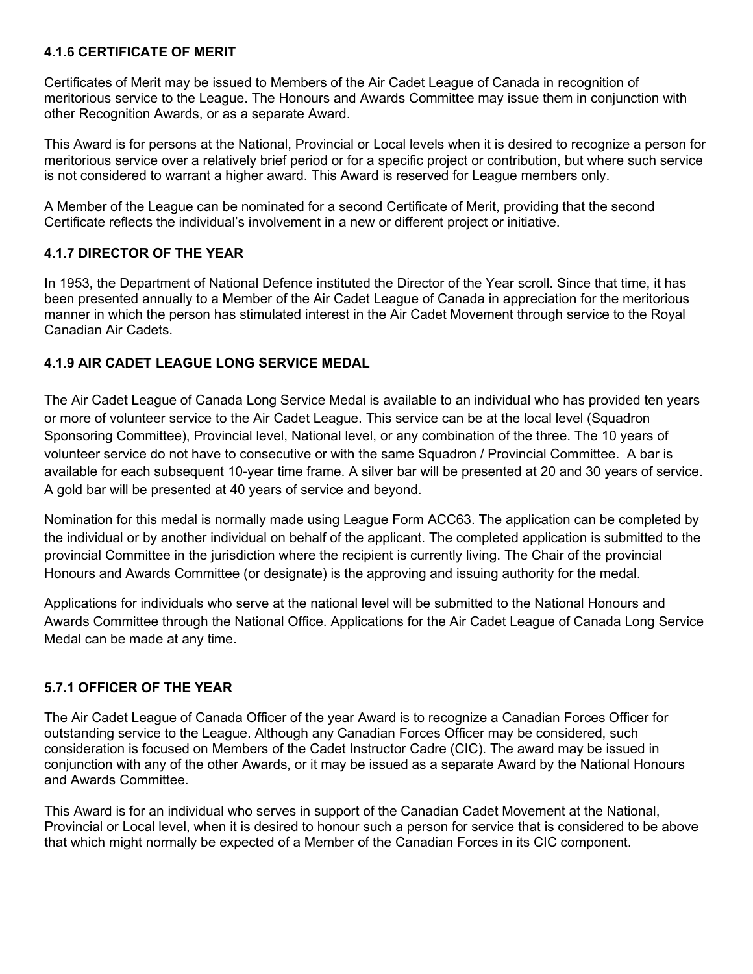## **4.1.6 CERTIFICATE OF MERIT**

Certificates of Merit may be issued to Members of the Air Cadet League of Canada in recognition of meritorious service to the League. The Honours and Awards Committee may issue them in conjunction with other Recognition Awards, or as a separate Award.

This Award is for persons at the National, Provincial or Local levels when it is desired to recognize a person for meritorious service over a relatively brief period or for a specific project or contribution, but where such service is not considered to warrant a higher award. This Award is reserved for League members only.

A Member of the League can be nominated for a second Certificate of Merit, providing that the second Certificate reflects the individual's involvement in a new or different project or initiative.

# **4.1.7 DIRECTOR OF THE YEAR**

In 1953, the Department of National Defence instituted the Director of the Year scroll. Since that time, it has been presented annually to a Member of the Air Cadet League of Canada in appreciation for the meritorious manner in which the person has stimulated interest in the Air Cadet Movement through service to the Royal Canadian Air Cadets.

## **4.1.9 AIR CADET LEAGUE LONG SERVICE MEDAL**

The Air Cadet League of Canada Long Service Medal is available to an individual who has provided ten years or more of volunteer service to the Air Cadet League. This service can be at the local level (Squadron Sponsoring Committee), Provincial level, National level, or any combination of the three. The 10 years of volunteer service do not have to consecutive or with the same Squadron / Provincial Committee. A bar is available for each subsequent 10-year time frame. A silver bar will be presented at 20 and 30 years of service. A gold bar will be presented at 40 years of service and beyond.

Nomination for this medal is normally made using League Form ACC63. The application can be completed by the individual or by another individual on behalf of the applicant. The completed application is submitted to the provincial Committee in the jurisdiction where the recipient is currently living. The Chair of the provincial Honours and Awards Committee (or designate) is the approving and issuing authority for the medal.

Applications for individuals who serve at the national level will be submitted to the National Honours and Awards Committee through the National Office. Applications for the Air Cadet League of Canada Long Service Medal can be made at any time.

### **5.7.1 OFFICER OF THE YEAR**

The Air Cadet League of Canada Officer of the year Award is to recognize a Canadian Forces Officer for outstanding service to the League. Although any Canadian Forces Officer may be considered, such consideration is focused on Members of the Cadet Instructor Cadre (CIC). The award may be issued in conjunction with any of the other Awards, or it may be issued as a separate Award by the National Honours and Awards Committee.

This Award is for an individual who serves in support of the Canadian Cadet Movement at the National, Provincial or Local level, when it is desired to honour such a person for service that is considered to be above that which might normally be expected of a Member of the Canadian Forces in its CIC component.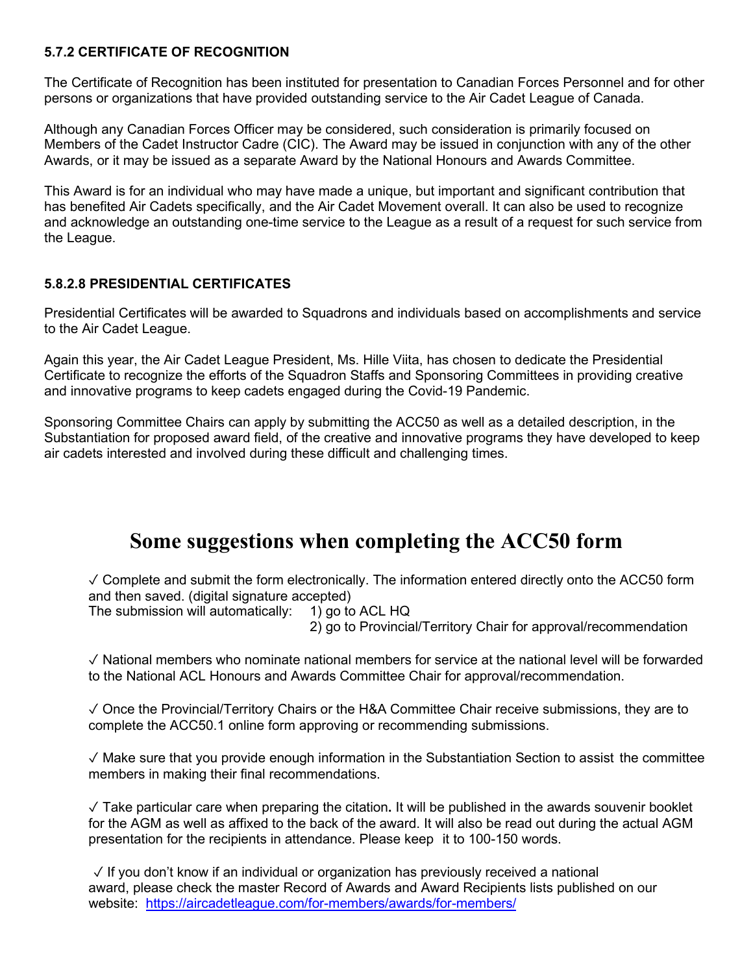## **5.7.2 CERTIFICATE OF RECOGNITION**

The Certificate of Recognition has been instituted for presentation to Canadian Forces Personnel and for other persons or organizations that have provided outstanding service to the Air Cadet League of Canada.

Although any Canadian Forces Officer may be considered, such consideration is primarily focused on Members of the Cadet Instructor Cadre (CIC). The Award may be issued in conjunction with any of the other Awards, or it may be issued as a separate Award by the National Honours and Awards Committee.

This Award is for an individual who may have made a unique, but important and significant contribution that has benefited Air Cadets specifically, and the Air Cadet Movement overall. It can also be used to recognize and acknowledge an outstanding one-time service to the League as a result of a request for such service from the League.

# **5.8.2.8 PRESIDENTIAL CERTIFICATES**

Presidential Certificates will be awarded to Squadrons and individuals based on accomplishments and service to the Air Cadet League.

Again this year, the Air Cadet League President, Ms. Hille Viita, has chosen to dedicate the Presidential Certificate to recognize the efforts of the Squadron Staffs and Sponsoring Committees in providing creative and innovative programs to keep cadets engaged during the Covid-19 Pandemic.

Sponsoring Committee Chairs can apply by submitting the ACC50 as well as a detailed description, in the Substantiation for proposed award field, of the creative and innovative programs they have developed to keep air cadets interested and involved during these difficult and challenging times.

# **Some suggestions when completing the ACC50 form**

 $\sqrt{2}$  Complete and submit the form electronically. The information entered directly onto the ACC50 form and then saved. (digital signature accepted)<br>The submission will automatically: 1) go to ACL HQ

The submission will automatically:

2) go to Provincial/Territory Chair for approval/recommendation

✓ National members who nominate national members for service at the national level will be forwarded to the National ACL Honours and Awards Committee Chair for approval/recommendation.

✓ Once the Provincial/Territory Chairs or the H&A Committee Chair receive submissions, they are to complete the ACC50.1 online form approving or recommending submissions.

✓ Make sure that you provide enough information in the Substantiation Section to assist the committee members in making their final recommendations.

✓ Take particular care when preparing the citation**.** It will be published in the awards souvenir booklet for the AGM as well as affixed to the back of the award. It will also be read out during the actual AGM presentation for the recipients in attendance. Please keep it to 100-150 words.

 $\sqrt{15}$  If you don't know if an individual or organization has previously received a national award, please check the master Record of Awards and Award Recipients lists published on our website: <https://aircadetleague.com/for-members/awards/for-members/>